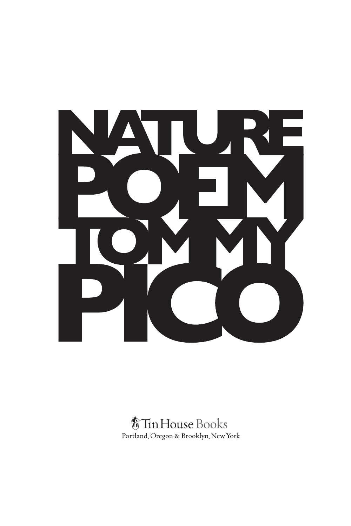

## *<u><i><u>OTinHouse</u>* Books</u> Portland, Oregon & Brooklyn, New York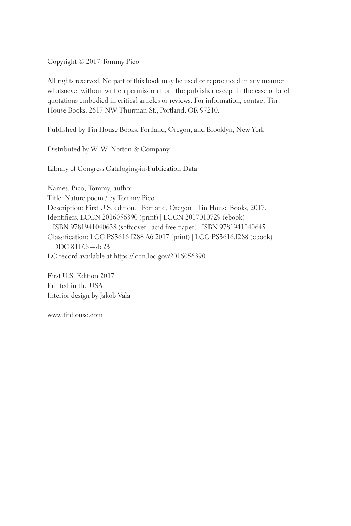Copyright © 2017 Tommy Pico

All rights reserved. No part of this book may be used or reproduced in any manner whatsoever without written permission from the publisher except in the case of brief quotations embodied in critical articles or reviews. For information, contact Tin House Books, 2617 NW Thurman St., Portland, OR 97210.

Published by Tin House Books, Portland, Oregon, and Brooklyn, New York

Distributed by W. W. Norton & Company

Library of Congress Cataloging-in-Publication Data

Names: Pico, Tommy, author. Title: Nature poem / by Tommy Pico. Description: First U.S. edition. | Portland, Oregon : Tin House Books, 2017. Identifiers: LCCN 2016056390 (print) | LCCN 2017010729 (ebook) | ISBN 9781941040638 (softcover : acid-free paper) | ISBN 9781941040645 Classification: LCC PS3616.I288 A6 2017 (print) | LCC PS3616.I288 (ebook) | DDC 811/.6—dc23 LC record available at https://lccn.loc.gov/2016056390

First U.S. Edition 2017 Printed in the USA Interior design by Jakob Vala

www.tinhouse.com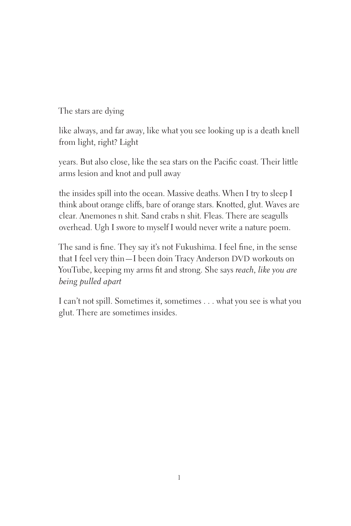The stars are dying

like always, and far away, like what you see looking up is a death knell from light, right? Light

years. But also close, like the sea stars on the Pacific coast. Their little arms lesion and knot and pull away

the insides spill into the ocean. Massive deaths. When I try to sleep I think about orange cliffs, bare of orange stars. Knotted, glut. Waves are clear. Anemones n shit. Sand crabs n shit. Fleas. There are seagulls overhead. Ugh I swore to myself I would never write a nature poem.

The sand is fine. They say it's not Fukushima. I feel fine, in the sense that I feel very thin—I been doin Tracy Anderson DVD workouts on YouTube, keeping my arms fit and strong. She says *reach, like you are being pulled apart*

I can't not spill. Sometimes it, sometimes . . . what you see is what you glut. There are sometimes insides.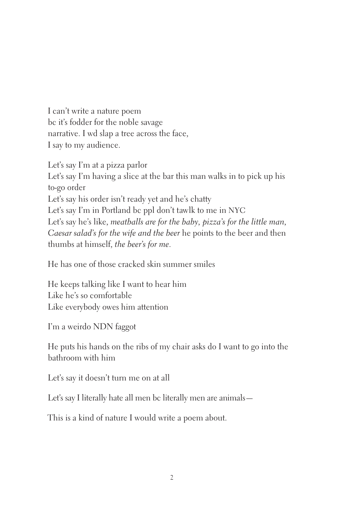I can't write a nature poem bc it's fodder for the noble savage narrative. I wd slap a tree across the face, I say to my audience.

Let's say I'm at a pizza parlor Let's say I'm having a slice at the bar this man walks in to pick up his to-go order Let's say his order isn't ready yet and he's chatty Let's say I'm in Portland bc ppl don't tawlk to me in NYC Let's say he's like, *meatballs are for the baby, pizza's for the little man, Caesar salad's for the wife and the beer* he points to the beer and then thumbs at himself, *the beer's for me*.

He has one of those cracked skin summer smiles

He keeps talking like I want to hear him Like he's so comfortable Like everybody owes him attention

I'm a weirdo NDN faggot

He puts his hands on the ribs of my chair asks do I want to go into the bathroom with him

Let's say it doesn't turn me on at all

Let's say I literally hate all men bc literally men are animals—

This is a kind of nature I would write a poem about.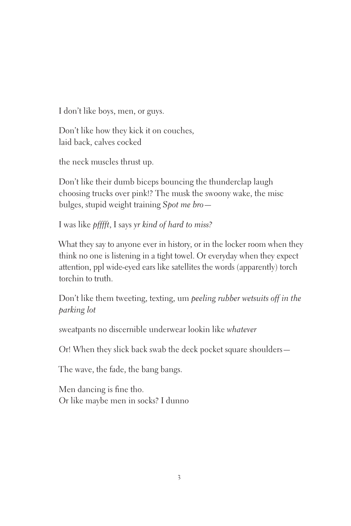I don't like boys, men, or guys.

Don't like how they kick it on couches, laid back, calves cocked

the neck muscles thrust up.

Don't like their dumb biceps bouncing the thunderclap laugh choosing trucks over pink!? The musk the swoony wake, the misc bulges, stupid weight training *Spot me bro*—

I was like *pfffft*, I says *yr kind of hard to miss?*

What they say to anyone ever in history, or in the locker room when they think no one is listening in a tight towel. Or everyday when they expect attention, ppl wide-eyed ears like satellites the words (apparently) torch torchin to truth.

Don't like them tweeting, texting, um *peeling rubber wetsuits off in the parking lot*

sweatpants no discernible underwear lookin like *whatever*

Or! When they slick back swab the deck pocket square shoulders—

The wave, the fade, the bang bangs.

Men dancing is fine tho. Or like maybe men in socks? I dunno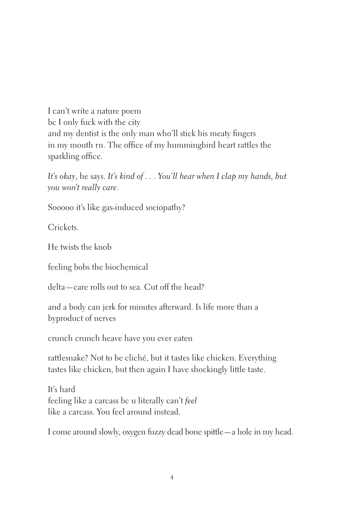I can't write a nature poem bc I only fuck with the city and my dentist is the only man who'll stick his meaty fingers in my mouth rn. The office of my hummingbird heart rattles the sparkling office.

*It's okay*, he says. *It's kind of . . . You'll hear when I clap my hands, but you won't really care*.

Sooooo it's like gas-induced sociopathy?

Crickets.

He twists the knob

feeling bobs the biochemical

delta—care rolls out to sea. Cut off the head?

and a body can jerk for minutes afterward. Is life more than a byproduct of nerves

crunch crunch heave have you ever eaten

rattlesnake? Not to be cliché, but it tastes like chicken. Everything tastes like chicken, but then again I have shockingly little taste.

It's hard feeling like a carcass bc u literally can't *feel* like a carcass. You feel around instead.

I come around slowly, oxygen fuzzy dead bone spittle—a hole in my head.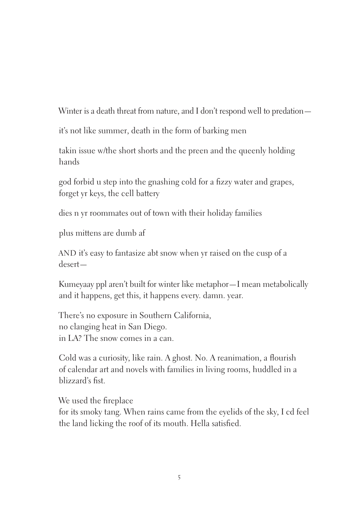Winter is a death threat from nature, and I don't respond well to predation—

it's not like summer, death in the form of barking men

takin issue w/the short shorts and the preen and the queenly holding hands

god forbid u step into the gnashing cold for a fizzy water and grapes, forget yr keys, the cell battery

dies n yr roommates out of town with their holiday families

plus mittens are dumb af

AND it's easy to fantasize abt snow when yr raised on the cusp of a desert—

Kumeyaay ppl aren't built for winter like metaphor—I mean metabolically and it happens, get this, it happens every. damn. year.

There's no exposure in Southern California, no clanging heat in San Diego. in LA? The snow comes in a can.

Cold was a curiosity, like rain. A ghost. No. A reanimation, a flourish of calendar art and novels with families in living rooms, huddled in a blizzard's fist.

We used the fireplace

for its smoky tang. When rains came from the eyelids of the sky, I cd feel the land licking the roof of its mouth. Hella satisfied.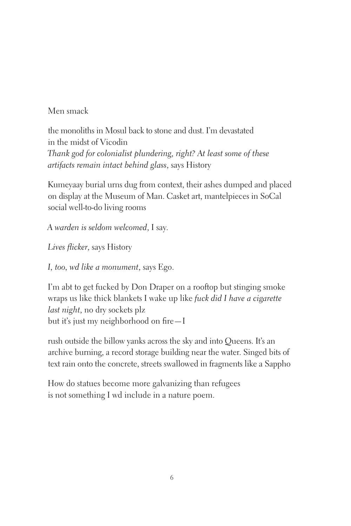Men smack

the monoliths in Mosul back to stone and dust. I'm devastated in the midst of Vicodin *Thank god for colonialist plundering, right? At least some of these artifacts remain intact behind glass*, says History

Kumeyaay burial urns dug from context, their ashes dumped and placed on display at the Museum of Man. Casket art, mantelpieces in SoCal social well-to-do living rooms

*A warden is seldom welcomed*, I say.

*Lives flicker*, says History

*I, too, wd like a monument*, says Ego.

I'm abt to get fucked by Don Draper on a rooftop but stinging smoke wraps us like thick blankets I wake up like *fuck did I have a cigarette last night*, no dry sockets plz but it's just my neighborhood on fire—I

rush outside the billow yanks across the sky and into Queens. It's an archive burning, a record storage building near the water. Singed bits of text rain onto the concrete, streets swallowed in fragments like a Sappho

How do statues become more galvanizing than refugees is not something I wd include in a nature poem.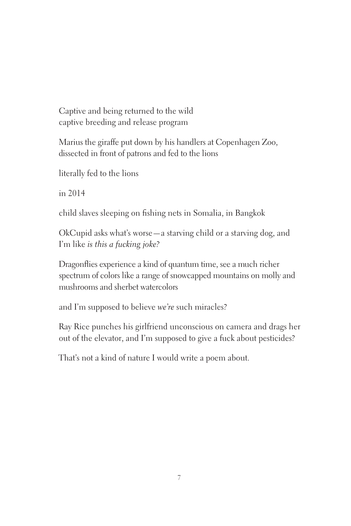Captive and being returned to the wild captive breeding and release program

Marius the giraffe put down by his handlers at Copenhagen Zoo, dissected in front of patrons and fed to the lions

literally fed to the lions

in 2014

child slaves sleeping on fishing nets in Somalia, in Bangkok

OkCupid asks what's worse—a starving child or a starving dog, and I'm like *is this a fucking joke?*

Dragonflies experience a kind of quantum time, see a much richer spectrum of colors like a range of snowcapped mountains on molly and mushrooms and sherbet watercolors

and I'm supposed to believe *we're* such miracles?

Ray Rice punches his girlfriend unconscious on camera and drags her out of the elevator, and I'm supposed to give a fuck about pesticides?

That's not a kind of nature I would write a poem about.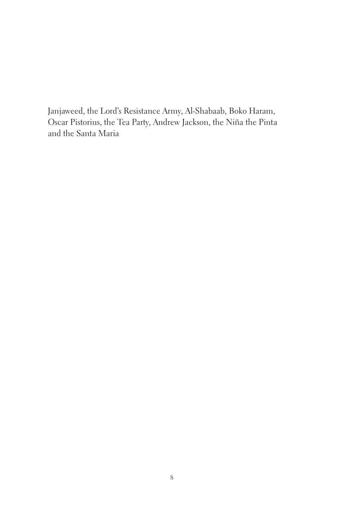Janjaweed, the Lord's Resistance Army, Al-Shabaab, Boko Haram, Oscar Pistorius, the Tea Party, Andrew Jackson, the Niña the Pinta and the Santa Maria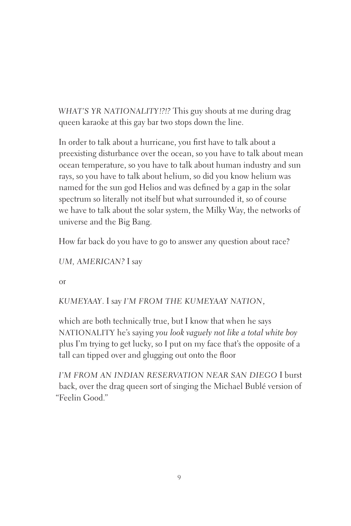*WHAT'S YR NATIONALITY!?!?* This guy shouts at me during drag queen karaoke at this gay bar two stops down the line.

In order to talk about a hurricane, you first have to talk about a preexisting disturbance over the ocean, so you have to talk about mean ocean temperature, so you have to talk about human industry and sun rays, so you have to talk about helium, so did you know helium was named for the sun god Helios and was defined by a gap in the solar spectrum so literally not itself but what surrounded it, so of course we have to talk about the solar system, the Milky Way, the networks of universe and the Big Bang.

How far back do you have to go to answer any question about race?

*UM, AMERICAN?* I say

or

*KUMEYAAY*. I say *I'M FROM THE KUMEYAAY NATION*,

which are both technically true, but I know that when he says NATIONALITY he's saying *you look vaguely not like a total white boy* plus I'm trying to get lucky, so I put on my face that's the opposite of a tall can tipped over and glugging out onto the floor

*I'M FROM AN INDIAN RESERVATION NEAR SAN DIEGO* I burst back, over the drag queen sort of singing the Michael Bublé version of "Feelin Good."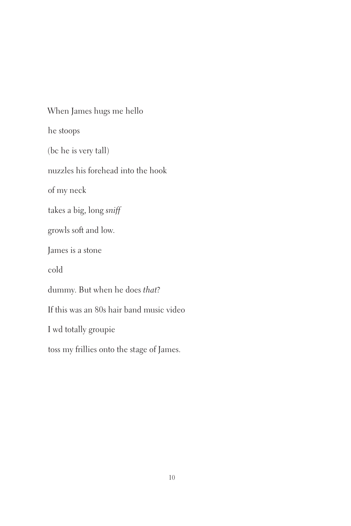When James hugs me hello he stoops (bc he is very tall) nuzzles his forehead into the hook of my neck takes a big, long *sniff* growls soft and low. James is a stone cold dummy. But when he does *that*? If this was an 80s hair band music video I wd totally groupie toss my frillies onto the stage of James.